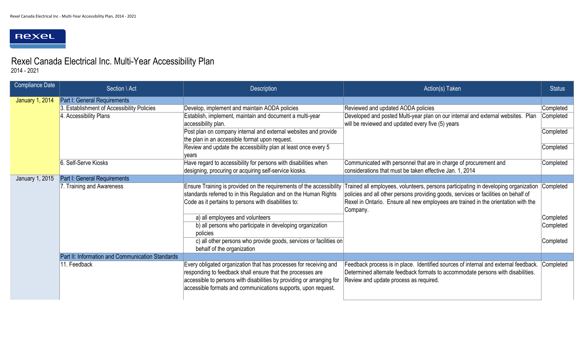## Rexeu

2014 - 2021

| <b>Compliance Date</b> | Section \ Act                                    | <b>Description</b>                                                                                                                                                                                                                                                        | Action(s) Taken                                                                                                                                                                                                                                                                           | <b>Status</b>                       |
|------------------------|--------------------------------------------------|---------------------------------------------------------------------------------------------------------------------------------------------------------------------------------------------------------------------------------------------------------------------------|-------------------------------------------------------------------------------------------------------------------------------------------------------------------------------------------------------------------------------------------------------------------------------------------|-------------------------------------|
| <b>January 1, 2014</b> | Part I: General Requirements                     |                                                                                                                                                                                                                                                                           |                                                                                                                                                                                                                                                                                           |                                     |
|                        | 3. Establishment of Accessibility Policies       | Develop, implement and maintain AODA policies                                                                                                                                                                                                                             | Reviewed and updated AODA policies                                                                                                                                                                                                                                                        | Completed                           |
|                        | 4. Accessibility Plans                           | Establish, implement, maintain and document a multi-year<br>accessibility plan.                                                                                                                                                                                           | Developed and posted Multi-year plan on our internal and external websites. Plan<br>will be reviewed and updated every five (5) years                                                                                                                                                     | Completed                           |
|                        |                                                  | Post plan on company internal and external websites and provide<br>the plan in an accessible format upon request.                                                                                                                                                         |                                                                                                                                                                                                                                                                                           | Completed                           |
|                        |                                                  | Review and update the accessibility plan at least once every 5<br>vears                                                                                                                                                                                                   |                                                                                                                                                                                                                                                                                           | Completed                           |
|                        | 6. Self-Serve Kiosks                             | Have regard to accessibility for persons with disabilities when<br>designing, procuring or acquiring self-service kiosks.                                                                                                                                                 | Communicated with personnel that are in charge of procurement and<br>considerations that must be taken effective Jan. 1, 2014                                                                                                                                                             | Completed                           |
| <b>January 1, 2015</b> | <b>Part I: General Requirements</b>              |                                                                                                                                                                                                                                                                           |                                                                                                                                                                                                                                                                                           |                                     |
|                        | 7. Training and Awareness                        | Ensure Training is provided on the requirements of the accessibility<br>standards referred to in this Regulation and on the Human Rights<br>Code as it pertains to persons with disabilities to:                                                                          | Trained all employees, volunteers, persons participating in developing organization  Completed  <br>policies and all other persons providing goods, services or facilities on behalf of<br>Rexel in Ontario. Ensure all new employees are trained in the orientation with the<br>Company. |                                     |
|                        |                                                  | a) all employees and volunteers<br>b) all persons who participate in developing organization<br>policies<br>c) all other persons who provide goods, services or facilities on                                                                                             |                                                                                                                                                                                                                                                                                           | Completed<br>Completed<br>Completed |
|                        |                                                  | behalf of the organization                                                                                                                                                                                                                                                |                                                                                                                                                                                                                                                                                           |                                     |
|                        | Part II: Information and Communication Standards |                                                                                                                                                                                                                                                                           |                                                                                                                                                                                                                                                                                           |                                     |
|                        | 11. Feedback                                     | Every obligated organization that has processes for receiving and<br>responding to feedback shall ensure that the processes are<br>accessible to persons with disabilities by providing or arranging for<br>accessible formats and communications supports, upon request. | Feedback process is in place. Identified sources of internal and external feedback. Completed<br>Determined alternate feedback formats to accommodate persons with disabilities.<br>Review and update process as required.                                                                |                                     |

## Rexel Canada Electrical Inc. Multi-Year Accessibility Plan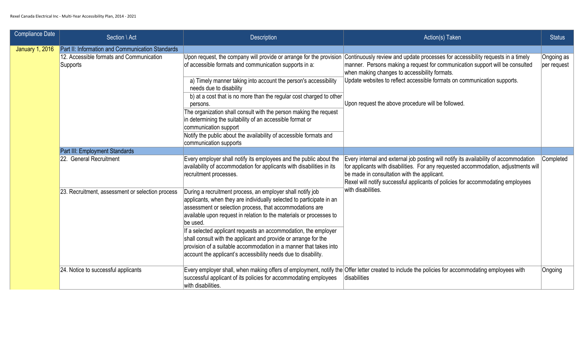| <b>Compliance Date</b> | Section \ Act                                          | <b>Description</b>                                                                                                                                                                                                                                                                 | Action(s) Taken                                                                                                                                                                                                                                                                                                | <b>Status</b>          |
|------------------------|--------------------------------------------------------|------------------------------------------------------------------------------------------------------------------------------------------------------------------------------------------------------------------------------------------------------------------------------------|----------------------------------------------------------------------------------------------------------------------------------------------------------------------------------------------------------------------------------------------------------------------------------------------------------------|------------------------|
| <b>January 1, 2016</b> | Part II: Information and Communication Standards       |                                                                                                                                                                                                                                                                                    |                                                                                                                                                                                                                                                                                                                |                        |
|                        | 12. Accessible formats and Communication<br> Supports_ | of accessible formats and communication supports in a:                                                                                                                                                                                                                             | Upon request, the company will provide or arrange for the provision Continuously review and update processes for accessibility requests in a timely<br>manner. Persons making a request for communication support will be consulted<br>when making changes to accessibility formats.                           | Ongoing a<br>per reque |
|                        |                                                        | a) Timely manner taking into account the person's accessibility<br>needs due to disability                                                                                                                                                                                         | Update websites to reflect accessible formats on communication supports.                                                                                                                                                                                                                                       |                        |
|                        |                                                        | b) at a cost that is no more than the regular cost charged to other<br>persons.                                                                                                                                                                                                    | Upon request the above procedure will be followed.                                                                                                                                                                                                                                                             |                        |
|                        |                                                        | The organization shall consult with the person making the request<br>in determining the suitability of an accessible format or<br>communication support                                                                                                                            |                                                                                                                                                                                                                                                                                                                |                        |
|                        |                                                        | Notify the public about the availability of accessible formats and<br>communication supports                                                                                                                                                                                       |                                                                                                                                                                                                                                                                                                                |                        |
|                        | Part III: Employment Standards                         |                                                                                                                                                                                                                                                                                    |                                                                                                                                                                                                                                                                                                                |                        |
|                        | 22. General Recruitment                                | Every employer shall notify its employees and the public about the<br>availability of accommodation for applicants with disabilities in its<br>recruitment processes.                                                                                                              | Every internal and external job posting will notify its availability of accommodation<br>for applicants with disabilities. For any requested accommodation, adjustments will<br>be made in consultation with the applicant.<br>Rexel will notify successful applicants of policies for accommodating employees | Complete               |
|                        | 23. Recruitment, assessment or selection process       | During a recruitment process, an employer shall notify job<br>applicants, when they are individually selected to participate in an<br>assessment or selection process, that accommodations are<br>available upon request in relation to the materials or processes to<br>lbe used. | with disabilities.                                                                                                                                                                                                                                                                                             |                        |
|                        |                                                        | If a selected applicant requests an accommodation, the employer<br>shall consult with the applicant and provide or arrange for the<br>provision of a suitable accommodation in a manner that takes into<br>account the applicant's accessibility needs due to disability.          |                                                                                                                                                                                                                                                                                                                |                        |
|                        | 24. Notice to successful applicants                    | successful applicant of its policies for accommodating employees<br>with disabilities.                                                                                                                                                                                             | Every employer shall, when making offers of employment, notify the Offer letter created to include the policies for accommodating employees with<br> disabilities                                                                                                                                              | Ongoing                |

| Action(s) Taken                                                                                                                                                                                                                                                                                                                                    | <b>Status</b>             |
|----------------------------------------------------------------------------------------------------------------------------------------------------------------------------------------------------------------------------------------------------------------------------------------------------------------------------------------------------|---------------------------|
| Continuously review and update processes for accessibility requests in a timely<br>manner. Persons making a request for communication support will be consulted<br>when making changes to accessibility formats.<br>Update websites to reflect accessible formats on communication supports.<br>Upon request the above procedure will be followed. | Ongoing as<br>per request |
| Every internal and external job posting will notify its availability of accommodation<br>for applicants with disabilities. For any requested accommodation, adjustments will<br>be made in consultation with the applicant.<br>Rexel will notify successful applicants of policies for accommodating employees<br>with disabilities.               | Completed                 |
| Offer letter created to include the policies for accommodating employees with<br>disabilities                                                                                                                                                                                                                                                      | Ongoing                   |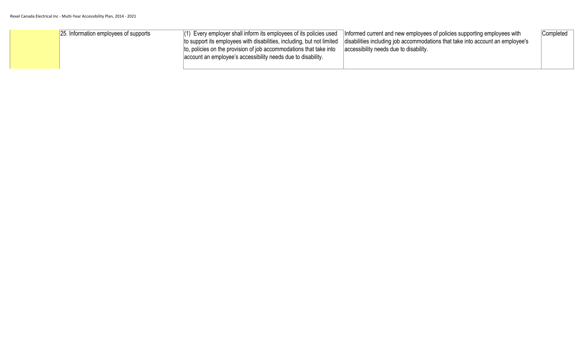| 25. Information employees of supports | $(1)$ Every employer shall inform its employees of its policies used<br>to, policies on the provision of job accommodations that take into<br>account an employee's accessibility needs due to disability. | Informed current and new employees of policies supporting employees with<br>to support its employees with disabilities, including, but not limited disabilities including job accommodations that take into account an employee's<br>accessibility needs due to disability. | Completed |
|---------------------------------------|------------------------------------------------------------------------------------------------------------------------------------------------------------------------------------------------------------|-----------------------------------------------------------------------------------------------------------------------------------------------------------------------------------------------------------------------------------------------------------------------------|-----------|
|---------------------------------------|------------------------------------------------------------------------------------------------------------------------------------------------------------------------------------------------------------|-----------------------------------------------------------------------------------------------------------------------------------------------------------------------------------------------------------------------------------------------------------------------------|-----------|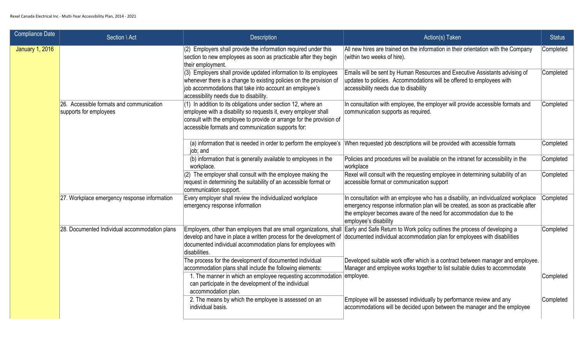| <b>Compliance Date</b> | Section \ Act                                                      | <b>Description</b>                                                                                                                                                                                                                                                            | Action(s) Taken                                                                                                                                                                                                                                                         | <b>Status</b> |
|------------------------|--------------------------------------------------------------------|-------------------------------------------------------------------------------------------------------------------------------------------------------------------------------------------------------------------------------------------------------------------------------|-------------------------------------------------------------------------------------------------------------------------------------------------------------------------------------------------------------------------------------------------------------------------|---------------|
| <b>January 1, 2016</b> |                                                                    | (2) Employers shall provide the information required under this<br>section to new employees as soon as practicable after they begin<br>their employment.                                                                                                                      | All new hires are trained on the information in their orientation with the Company<br>(within two weeks of hire).                                                                                                                                                       | Completed     |
|                        |                                                                    | $(3)$ Employers shall provide updated information to its employees<br>whenever there is a change to existing policies on the provision of<br>job accommodations that take into account an employee's<br>accessibility needs due to disability.                                | Emails will be sent by Human Resources and Executive Assistants advising of<br>updates to policies. Accommodations will be offered to employees with<br>accessibility needs due to disability                                                                           | Completed     |
|                        | 26. Accessible formats and communication<br>supports for employees | $(1)$ In addition to its obligations under section 12, where an<br>employee with a disability so requests it, every employer shall<br>consult with the employee to provide or arrange for the provision of<br>accessible formats and communication supports for:              | In consultation with employee, the employer will provide accessible formats and<br>communication supports as required.                                                                                                                                                  | Completed     |
|                        |                                                                    | job; and                                                                                                                                                                                                                                                                      | (a) information that is needed in order to perform the employee's When requested job descriptions will be provided with accessible formats                                                                                                                              | Completed     |
|                        |                                                                    | (b) information that is generally available to employees in the<br>workplace.                                                                                                                                                                                                 | Policies and procedures will be available on the intranet for accessibility in the<br>workplace                                                                                                                                                                         | Completed     |
|                        |                                                                    | $(2)$ The employer shall consult with the employee making the<br>request in determining the suitability of an accessible format or<br>communication support.                                                                                                                  | Rexel will consult with the requesting employee in determining suitability of an<br>accessible format or communication support                                                                                                                                          | Completed     |
|                        | 27. Workplace emergency response information                       | Every employer shall review the individualized workplace<br>emergency response information                                                                                                                                                                                    | In consultation with an employee who has a disability, an individualized workplace<br>emergency response information plan will be created, as soon as practicable after<br>the employer becomes aware of the need for accommodation due to the<br>employee's disability | Completed     |
|                        | 28. Documented Individual accommodation plans                      | develop and have in place a written process for the development of<br>documented individual accommodation plans for employees with<br>disabilities.                                                                                                                           | Employers, other than employers that are small organizations, shall  Early and Safe Return to Work policy outlines the process of developing a<br>documented individual accommodation plan for employees with disabilities                                              | Completed     |
|                        |                                                                    | The process for the development of documented individual<br>accommodation plans shall include the following elements:<br>1. The manner in which an employee requesting accommodation employee.<br>can participate in the development of the individual<br>accommodation plan. | Developed suitable work offer which is a contract between manager and employee.<br>Manager and employee works together to list suitable duties to accommodate                                                                                                           | Completed     |
|                        |                                                                    | 2. The means by which the employee is assessed on an<br>individual basis.                                                                                                                                                                                                     | Employee will be assessed individually by performance review and any<br>accommodations will be decided upon between the manager and the employee                                                                                                                        | Completed     |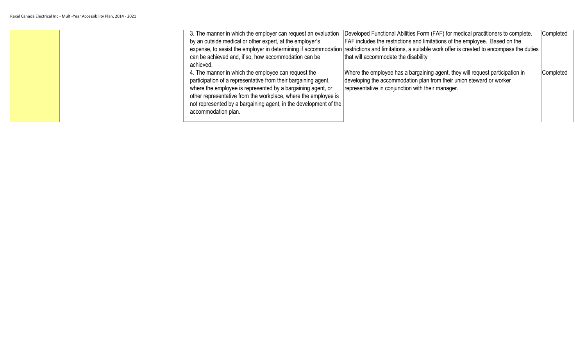| 3. The manner in which the employer can request an evaluation<br>Completed<br>Developed Functional Abilities Form (FAF) for medical practitioners to complete.<br><b>FAF</b> includes the restrictions and limitations of the employee. Based on the<br>by an outside medical or other expert, at the employer's<br>expense, to assist the employer in determining if accommodation restrictions and limitations, a suitable work offer is created to encompass the duties<br>can be achieved and, if so, how accommodation can be<br>that will accommodate the disability<br>achieved. |  |
|-----------------------------------------------------------------------------------------------------------------------------------------------------------------------------------------------------------------------------------------------------------------------------------------------------------------------------------------------------------------------------------------------------------------------------------------------------------------------------------------------------------------------------------------------------------------------------------------|--|
| 4. The manner in which the employee can request the<br>Completed<br>Where the employee has a bargaining agent, they will request participation in<br>developing the accommodation plan from their union steward or worker<br>participation of a representative from their bargaining agent,<br>representative in conjunction with their manager.<br>where the employee is represented by a bargaining agent, or<br>other representative from the workplace, where the employee is<br>not represented by a bargaining agent, in the development of the<br>accommodation plan.            |  |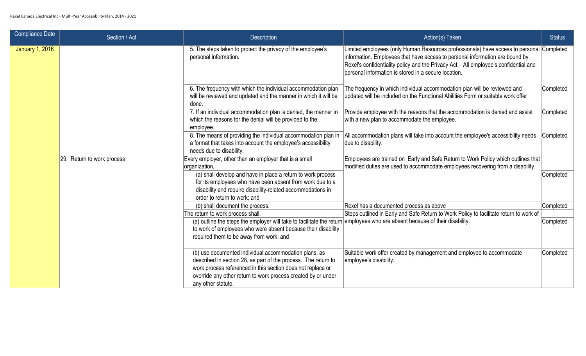| <b>Compliance Date</b> | Section \ Act              | <b>Description</b>                                                                                                                                                                                                                                                            | Action(s) Taken                                                                                                                                                                                                                                                                                                         | <b>Status</b> |
|------------------------|----------------------------|-------------------------------------------------------------------------------------------------------------------------------------------------------------------------------------------------------------------------------------------------------------------------------|-------------------------------------------------------------------------------------------------------------------------------------------------------------------------------------------------------------------------------------------------------------------------------------------------------------------------|---------------|
| <b>January 1, 2016</b> |                            | 5. The steps taken to protect the privacy of the employee's<br>personal information.                                                                                                                                                                                          | Limited employees (only Human Resources professionals) have access to personal Completed<br>information. Employees that have access to personal information are bound by<br>Rexel's confidentiality policy and the Privacy Act. All employee's confidential and<br>personal information is stored in a secure location. |               |
|                        |                            | 6. The frequency with which the individual accommodation plan<br>will be reviewed and updated and the manner in which it will be<br>done.                                                                                                                                     | The frequency in which individual accommodation plan will be reviewed and<br>updated will be included on the Functional Abilities Form or suitable work offer                                                                                                                                                           | Completed     |
|                        |                            | 7. If an individual accommodation plan is denied, the manner in<br>which the reasons for the denial will be provided to the<br>employee.                                                                                                                                      | Provide employee with the reasons that the accommodation is denied and assist<br>with a new plan to accommodate the employee.                                                                                                                                                                                           | Completed     |
|                        |                            | 8. The means of providing the individual accommodation plan in<br>a format that takes into account the employee's accessibility<br>needs due to disability.                                                                                                                   | All accommodation plans will take into account the employee's accessibility needs<br>due to disability.                                                                                                                                                                                                                 | Completed     |
|                        | 29. Return to work process | Every employer, other than an employer that is a small<br>organization,                                                                                                                                                                                                       | Employees are trained on Early and Safe Return to Work Policy which outlines that<br>modified duties are used to accommodate employees recovering from a disability.                                                                                                                                                    |               |
|                        |                            | (a) shall develop and have in place a return to work process<br>for its employees who have been absent from work due to a<br>disability and require disability-related accommodations in<br>order to return to work; and                                                      |                                                                                                                                                                                                                                                                                                                         | Completed     |
|                        |                            | (b) shall document the process.                                                                                                                                                                                                                                               | Rexel has a documented process as above                                                                                                                                                                                                                                                                                 | Completed     |
|                        |                            | The return to work process shall,                                                                                                                                                                                                                                             | Steps outlined in Early and Safe Return to Work Policy to facilitate return to work of                                                                                                                                                                                                                                  |               |
|                        |                            | (a) outline the steps the employer will take to facilitate the return employees who are absent because of their disability.<br>to work of employees who were absent because their disability<br>required them to be away from work; and                                       |                                                                                                                                                                                                                                                                                                                         | Completed     |
|                        |                            | (b) use documented individual accommodation plans, as<br>described in section 28, as part of the process. The return to<br>work process referenced in this section does not replace or<br>override any other return to work process created by or under<br>any other statute. | Suitable work offer created by management and employee to accommodate<br>employee's disability.                                                                                                                                                                                                                         | Completed     |